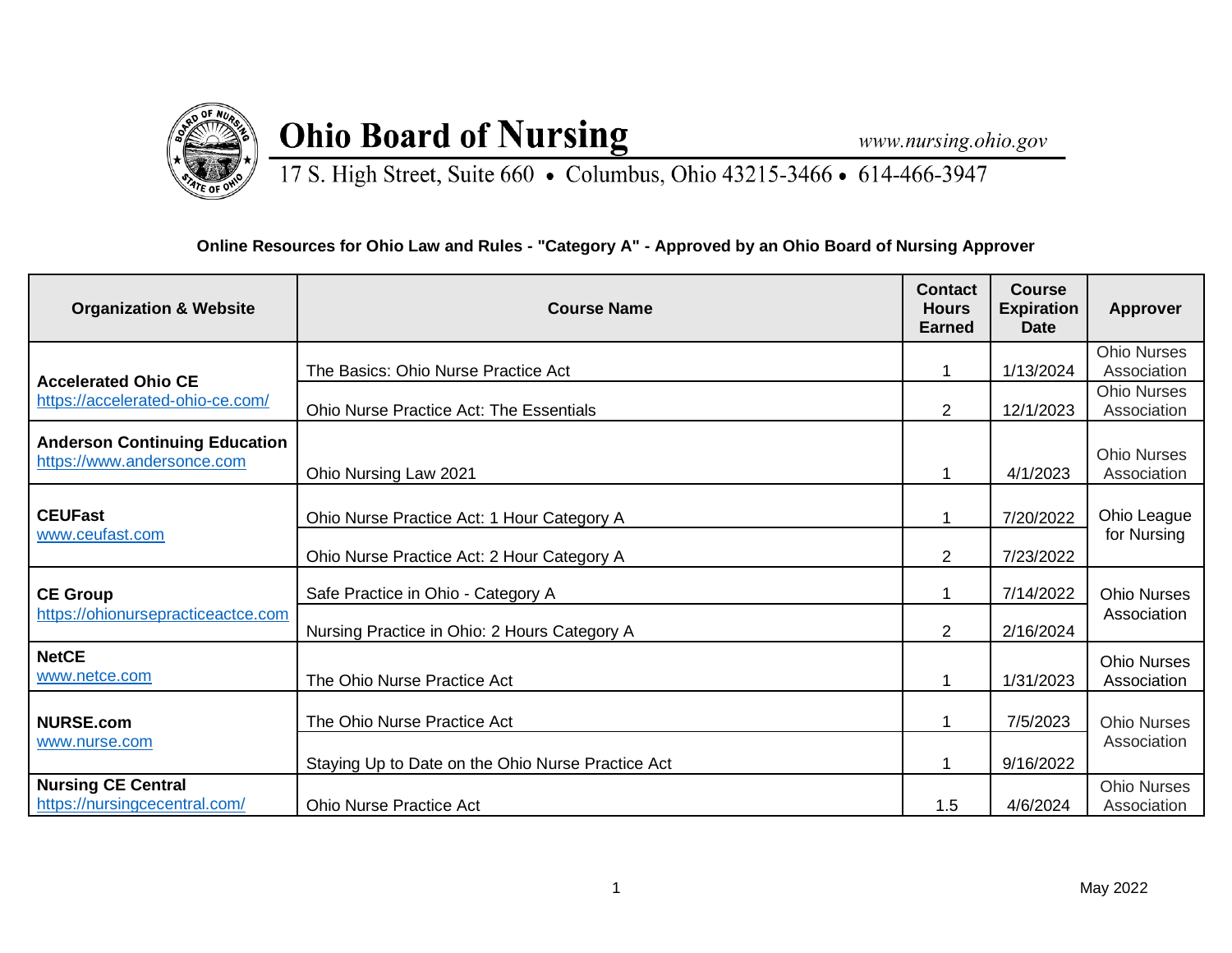

## **Ohio Board of Nursing**

www.nursing.ohio.gov

17 S. High Street, Suite 660 • Columbus, Ohio 43215-3466 • 614-466-3947

## **Online Resources for Ohio Law and Rules - "Category A" - Approved by an Ohio Board of Nursing Approver**

| <b>Organization &amp; Website</b>                                  | <b>Course Name</b>                                | <b>Contact</b><br><b>Hours</b><br><b>Earned</b> | Course<br><b>Expiration</b><br><b>Date</b> | <b>Approver</b>                   |
|--------------------------------------------------------------------|---------------------------------------------------|-------------------------------------------------|--------------------------------------------|-----------------------------------|
| <b>Accelerated Ohio CE</b><br>https://accelerated-ohio-ce.com/     | The Basics: Ohio Nurse Practice Act               |                                                 | 1/13/2024                                  | <b>Ohio Nurses</b><br>Association |
|                                                                    | <b>Ohio Nurse Practice Act: The Essentials</b>    | $\overline{2}$                                  | 12/1/2023                                  | <b>Ohio Nurses</b><br>Association |
| <b>Anderson Continuing Education</b><br>https://www.andersonce.com | Ohio Nursing Law 2021                             | 1                                               | 4/1/2023                                   | <b>Ohio Nurses</b><br>Association |
| <b>CEUFast</b><br>www.ceufast.com                                  | Ohio Nurse Practice Act: 1 Hour Category A        |                                                 | 7/20/2022                                  | Ohio League<br>for Nursing        |
|                                                                    | Ohio Nurse Practice Act: 2 Hour Category A        | $\overline{2}$                                  | 7/23/2022                                  |                                   |
| <b>CE Group</b><br>https://ohionursepracticeactce.com              | Safe Practice in Ohio - Category A                | 1                                               | 7/14/2022                                  | <b>Ohio Nurses</b><br>Association |
|                                                                    | Nursing Practice in Ohio: 2 Hours Category A      | $\overline{2}$                                  | 2/16/2024                                  |                                   |
| <b>NetCE</b><br>www.netce.com                                      | The Ohio Nurse Practice Act                       | 1                                               | 1/31/2023                                  | <b>Ohio Nurses</b><br>Association |
| <b>NURSE.com</b><br>www.nurse.com                                  | The Ohio Nurse Practice Act                       |                                                 | 7/5/2023                                   | <b>Ohio Nurses</b>                |
|                                                                    | Staying Up to Date on the Ohio Nurse Practice Act |                                                 | 9/16/2022                                  | Association                       |
| <b>Nursing CE Central</b><br>https://nursingcecentral.com/         | <b>Ohio Nurse Practice Act</b>                    | 1.5                                             | 4/6/2024                                   | <b>Ohio Nurses</b><br>Association |